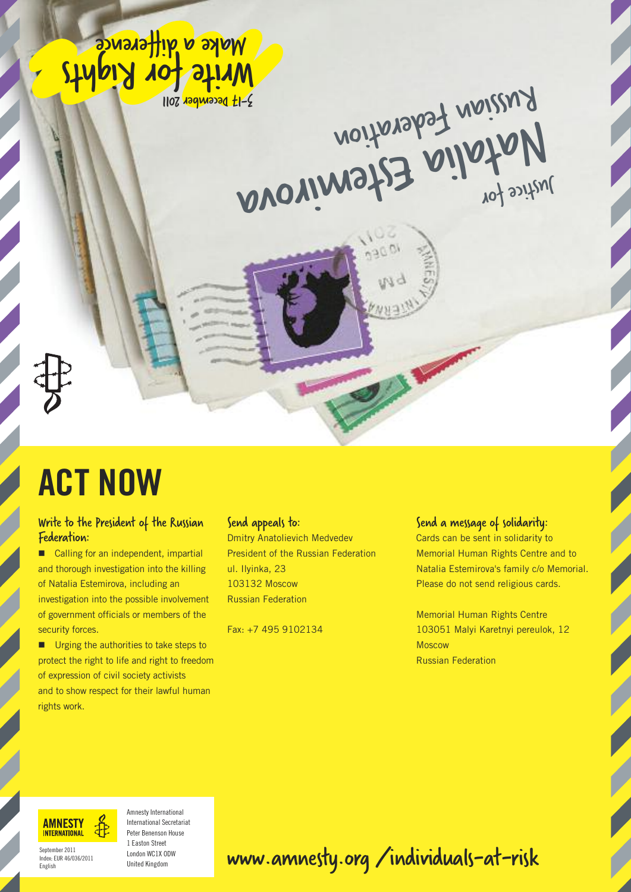Moke a difference 1107 129 WOOD 1107

Antice for tederation



## **ACT NOW**

#### Write to the President of the Russian Federation:

■ Calling for an independent, impartial and thorough investigation into the killing of Natalia Estemirova, including an investigation into the possible involvement of government officials or members of the security forces.

■ Urging the authorities to take steps to protect the right to life and right to freedom of expression of civil society activists and to show respect for their lawful human rights work.

#### Send appeals to:

**Dmitry Anatolievich Medvedev President of the Russian Federation** ul. Ilvinka, 23 103132 Moscow **Russian Federation** 

Fax: +7 495 9102134

#### Send a message of solidarity:

Cards can be sent in solidarity to Memorial Human Rights Centre and to Natalia Estemirova's family c/o Memorial. Please do not send religious cards.

**Memorial Human Rights Centre** 103051 Malyi Karetnyi pereulok, 12 **Moscow Russian Federation** 



Amnesty International **International Secretariat** Peter Renenson House 1 Faston Street London WC1X ODW **United Kingdom** 

### www.amnesty.org/individuals-at-risk

September 2011 Index, FUR 46/036/2011 English